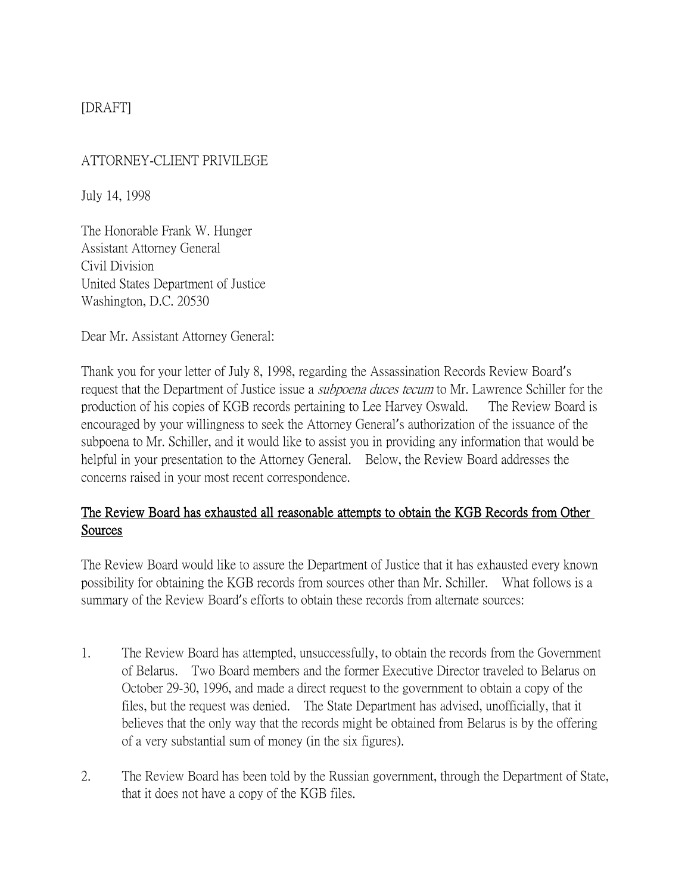# [DRAFT]

### ATTORNEY-CLIENT PRIVILEGE

July 14, 1998

The Honorable Frank W. Hunger Assistant Attorney General Civil Division United States Department of Justice Washington, D.C. 20530

Dear Mr. Assistant Attorney General:

Thank you for your letter of July 8, 1998, regarding the Assassination Records Review Board's request that the Department of Justice issue a *subpoena duces tecum* to Mr. Lawrence Schiller for the production of his copies of KGB records pertaining to Lee Harvey Oswald. The Review Board is encouraged by your willingness to seek the Attorney General's authorization of the issuance of the subpoena to Mr. Schiller, and it would like to assist you in providing any information that would be helpful in your presentation to the Attorney General. Below, the Review Board addresses the concerns raised in your most recent correspondence.

# The Review Board has exhausted all reasonable attempts to obtain the KGB Records from Other Sources

The Review Board would like to assure the Department of Justice that it has exhausted every known possibility for obtaining the KGB records from sources other than Mr. Schiller. What follows is a summary of the Review Board's efforts to obtain these records from alternate sources:

- 1. The Review Board has attempted, unsuccessfully, to obtain the records from the Government of Belarus. Two Board members and the former Executive Director traveled to Belarus on October 29-30, 1996, and made a direct request to the government to obtain a copy of the files, but the request was denied. The State Department has advised, unofficially, that it believes that the only way that the records might be obtained from Belarus is by the offering of a very substantial sum of money (in the six figures).
- 2. The Review Board has been told by the Russian government, through the Department of State, that it does not have a copy of the KGB files.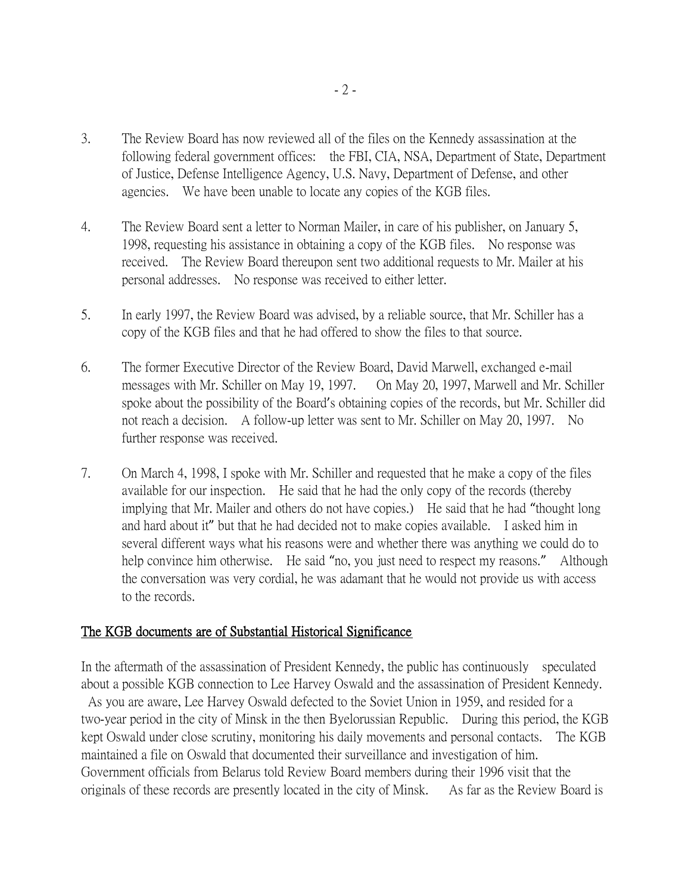- 3. The Review Board has now reviewed all of the files on the Kennedy assassination at the following federal government offices: the FBI, CIA, NSA, Department of State, Department of Justice, Defense Intelligence Agency, U.S. Navy, Department of Defense, and other agencies. We have been unable to locate any copies of the KGB files.
- 4. The Review Board sent a letter to Norman Mailer, in care of his publisher, on January 5, 1998, requesting his assistance in obtaining a copy of the KGB files. No response was received. The Review Board thereupon sent two additional requests to Mr. Mailer at his personal addresses. No response was received to either letter.
- 5. In early 1997, the Review Board was advised, by a reliable source, that Mr. Schiller has a copy of the KGB files and that he had offered to show the files to that source.
- 6. The former Executive Director of the Review Board, David Marwell, exchanged e-mail messages with Mr. Schiller on May 19, 1997. On May 20, 1997, Marwell and Mr. Schiller spoke about the possibility of the Board's obtaining copies of the records, but Mr. Schiller did not reach a decision. A follow-up letter was sent to Mr. Schiller on May 20, 1997. No further response was received.
- 7. On March 4, 1998, I spoke with Mr. Schiller and requested that he make a copy of the files available for our inspection. He said that he had the only copy of the records (thereby implying that Mr. Mailer and others do not have copies.) He said that he had "thought long and hard about it" but that he had decided not to make copies available. I asked him in several different ways what his reasons were and whether there was anything we could do to help convince him otherwise. He said "no, you just need to respect my reasons." Although the conversation was very cordial, he was adamant that he would not provide us with access to the records.

#### The KGB documents are of Substantial Historical Significance

In the aftermath of the assassination of President Kennedy, the public has continuously speculated about a possible KGB connection to Lee Harvey Oswald and the assassination of President Kennedy. As you are aware, Lee Harvey Oswald defected to the Soviet Union in 1959, and resided for a

two-year period in the city of Minsk in the then Byelorussian Republic. During this period, the KGB kept Oswald under close scrutiny, monitoring his daily movements and personal contacts. The KGB maintained a file on Oswald that documented their surveillance and investigation of him. Government officials from Belarus told Review Board members during their 1996 visit that the originals of these records are presently located in the city of Minsk. As far as the Review Board is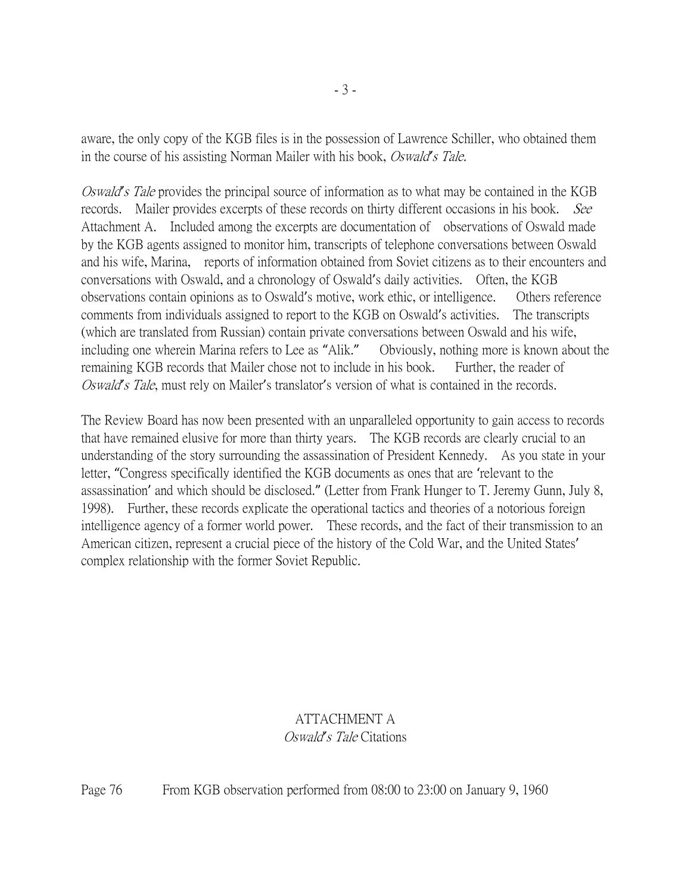aware, the only copy of the KGB files is in the possession of Lawrence Schiller, who obtained them in the course of his assisting Norman Mailer with his book, Oswald*'*s Tale.

Oswald*'*s Tale provides the principal source of information as to what may be contained in the KGB records. Mailer provides excerpts of these records on thirty different occasions in his book. See Attachment A. Included among the excerpts are documentation of observations of Oswald made by the KGB agents assigned to monitor him, transcripts of telephone conversations between Oswald and his wife, Marina, reports of information obtained from Soviet citizens as to their encounters and conversations with Oswald, and a chronology of Oswald's daily activities. Often, the KGB observations contain opinions as to Oswald's motive, work ethic, or intelligence. Others reference comments from individuals assigned to report to the KGB on Oswald's activities. The transcripts (which are translated from Russian) contain private conversations between Oswald and his wife, including one wherein Marina refers to Lee as "Alik." Obviously, nothing more is known about the remaining KGB records that Mailer chose not to include in his book. Further, the reader of Oswald*'*s Tale, must rely on Mailer's translator's version of what is contained in the records.

The Review Board has now been presented with an unparalleled opportunity to gain access to records that have remained elusive for more than thirty years. The KGB records are clearly crucial to an understanding of the story surrounding the assassination of President Kennedy. As you state in your letter, "Congress specifically identified the KGB documents as ones that are 'relevant to the assassination' and which should be disclosed." (Letter from Frank Hunger to T. Jeremy Gunn, July 8, 1998). Further, these records explicate the operational tactics and theories of a notorious foreign intelligence agency of a former world power. These records, and the fact of their transmission to an American citizen, represent a crucial piece of the history of the Cold War, and the United States' complex relationship with the former Soviet Republic.

#### ATTACHMENT A Oswald*'*s Tale Citations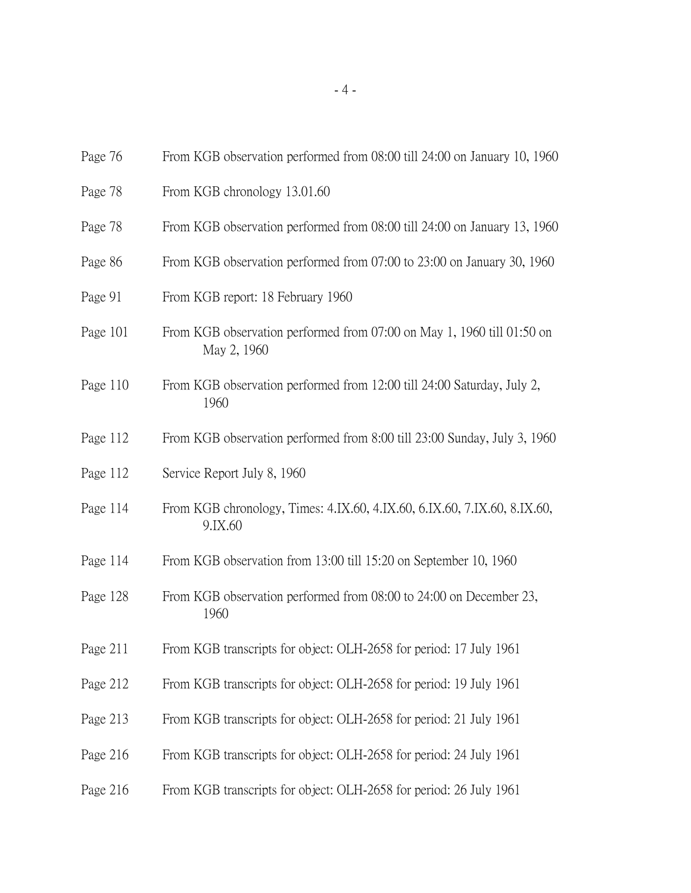| Page 76  | From KGB observation performed from 08:00 till 24:00 on January 10, 1960              |
|----------|---------------------------------------------------------------------------------------|
| Page 78  | From KGB chronology 13.01.60                                                          |
| Page 78  | From KGB observation performed from 08:00 till 24:00 on January 13, 1960              |
| Page 86  | From KGB observation performed from 07:00 to 23:00 on January 30, 1960                |
| Page 91  | From KGB report: 18 February 1960                                                     |
| Page 101 | From KGB observation performed from 07:00 on May 1, 1960 till 01:50 on<br>May 2, 1960 |
| Page 110 | From KGB observation performed from 12:00 till 24:00 Saturday, July 2,<br>1960        |
| Page 112 | From KGB observation performed from 8:00 till 23:00 Sunday, July 3, 1960              |
| Page 112 | Service Report July 8, 1960                                                           |
| Page 114 | From KGB chronology, Times: 4.IX.60, 4.IX.60, 6.IX.60, 7.IX.60, 8.IX.60,<br>9.IX.60   |
| Page 114 | From KGB observation from 13:00 till 15:20 on September 10, 1960                      |
| Page 128 | From KGB observation performed from 08:00 to 24:00 on December 23,<br>1960            |
| Page 211 | From KGB transcripts for object: OLH-2658 for period: 17 July 1961                    |
| Page 212 | From KGB transcripts for object: OLH-2658 for period: 19 July 1961                    |
| Page 213 | From KGB transcripts for object: OLH-2658 for period: 21 July 1961                    |
| Page 216 | From KGB transcripts for object: OLH-2658 for period: 24 July 1961                    |
| Page 216 | From KGB transcripts for object: OLH-2658 for period: 26 July 1961                    |